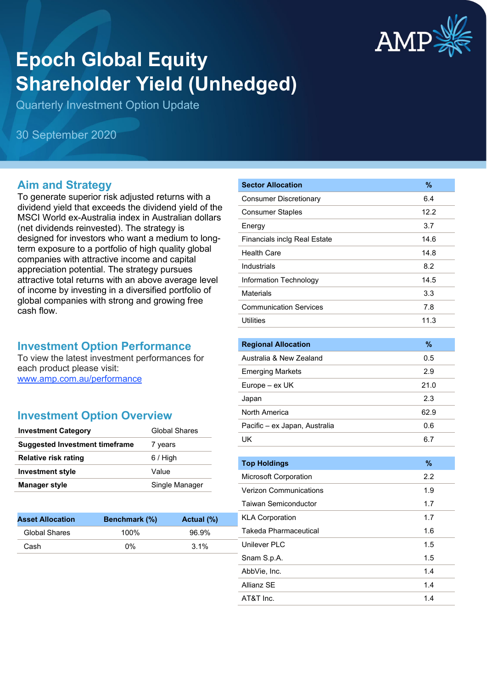

# **Epoch Global Equity Shareholder Yield (Unhedged)**

Quarterly Investment Option Update

30 September 2020

#### **Aim and Strategy**

To generate superior risk adjusted returns with a dividend yield that exceeds the dividend yield of the MSCI World ex-Australia index in Australian dollars (net dividends reinvested). The strategy is designed for investors who want a medium to longterm exposure to a portfolio of high quality global companies with attractive income and capital appreciation potential. The strategy pursues attractive total returns with an above average level of income by investing in a diversified portfolio of global companies with strong and growing free cash flow.

#### **Investment Option Performance**

To view the latest investment performances for each product please visit: [www.amp.com.au/performance](https://www.amp.com.au/performance)

#### **Investment Option Overview**

| <b>Investment Category</b>            | <b>Global Shares</b> |
|---------------------------------------|----------------------|
| <b>Suggested Investment timeframe</b> | 7 years              |
| Relative risk rating                  | $6/$ High            |
| <b>Investment style</b>               | Value                |
| <b>Manager style</b>                  | Single Manager       |

**Asset Allocation Benchmark (%) Actual (%)** Global Shares 100% 96.9% Cash 0% 3.1%

| <b>Sector Allocation</b>            | %    |
|-------------------------------------|------|
| <b>Consumer Discretionary</b>       | 6.4  |
| <b>Consumer Staples</b>             | 12.2 |
| Energy                              | 3.7  |
| <b>Financials inclg Real Estate</b> | 14.6 |
| Health Care                         | 14.8 |
| Industrials                         | 8.2  |
| Information Technology              | 14.5 |
| Materials                           | 3.3  |
| <b>Communication Services</b>       | 7.8  |
| <b>Utilities</b>                    | 11.3 |
|                                     |      |

| <b>Regional Allocation</b>    | %    |
|-------------------------------|------|
| Australia & New Zealand       | 0.5  |
| <b>Emerging Markets</b>       | 29   |
| Europe – ex UK                | 21.0 |
| Japan                         | 2.3  |
| North America                 | 62.9 |
| Pacific – ex Japan, Australia | 0.6  |
| UK                            | 6.7  |

| <b>Top Holdings</b>           | $\frac{9}{6}$ |
|-------------------------------|---------------|
| <b>Microsoft Corporation</b>  | 2.2           |
| <b>Verizon Communications</b> | 1.9           |
| <b>Taiwan Semiconductor</b>   | 1.7           |
| <b>KLA Corporation</b>        | 1.7           |
| Takeda Pharmaceutical         | 1.6           |
| Unilever PLC                  | 1.5           |
| Snam S.p.A.                   | 1.5           |
| AbbVie, Inc.                  | 1.4           |
| Allianz SF                    | 1.4           |
| AT&T Inc.                     | 1.4           |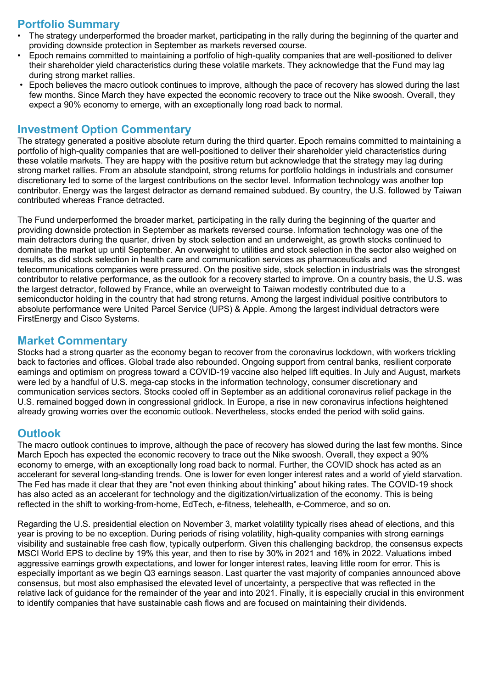## **Portfolio Summary**

- The strategy underperformed the broader market, participating in the rally during the beginning of the quarter and providing downside protection in September as markets reversed course.
- Epoch remains committed to maintaining a portfolio of high-quality companies that are well-positioned to deliver their shareholder yield characteristics during these volatile markets. They acknowledge that the Fund may lag during strong market rallies.
- Epoch believes the macro outlook continues to improve, although the pace of recovery has slowed during the last few months. Since March they have expected the economic recovery to trace out the Nike swoosh. Overall, they expect a 90% economy to emerge, with an exceptionally long road back to normal.

#### **Investment Option Commentary**

The strategy generated a positive absolute return during the third quarter. Epoch remains committed to maintaining a portfolio of high-quality companies that are well-positioned to deliver their shareholder yield characteristics during these volatile markets. They are happy with the positive return but acknowledge that the strategy may lag during strong market rallies. From an absolute standpoint, strong returns for portfolio holdings in industrials and consumer discretionary led to some of the largest contributions on the sector level. Information technology was another top contributor. Energy was the largest detractor as demand remained subdued. By country, the U.S. followed by Taiwan contributed whereas France detracted.

The Fund underperformed the broader market, participating in the rally during the beginning of the quarter and providing downside protection in September as markets reversed course. Information technology was one of the main detractors during the quarter, driven by stock selection and an underweight, as growth stocks continued to dominate the market up until September. An overweight to utilities and stock selection in the sector also weighed on results, as did stock selection in health care and communication services as pharmaceuticals and telecommunications companies were pressured. On the positive side, stock selection in industrials was the strongest contributor to relative performance, as the outlook for a recovery started to improve. On a country basis, the U.S. was the largest detractor, followed by France, while an overweight to Taiwan modestly contributed due to a semiconductor holding in the country that had strong returns. Among the largest individual positive contributors to absolute performance were United Parcel Service (UPS) & Apple. Among the largest individual detractors were FirstEnergy and Cisco Systems.

### **Market Commentary**

Stocks had a strong quarter as the economy began to recover from the coronavirus lockdown, with workers trickling back to factories and offices. Global trade also rebounded. Ongoing support from central banks, resilient corporate earnings and optimism on progress toward a COVID-19 vaccine also helped lift equities. In July and August, markets were led by a handful of U.S. mega-cap stocks in the information technology, consumer discretionary and communication services sectors. Stocks cooled off in September as an additional coronavirus relief package in the U.S. remained bogged down in congressional gridlock. In Europe, a rise in new coronavirus infections heightened already growing worries over the economic outlook. Nevertheless, stocks ended the period with solid gains.

#### **Outlook**

The macro outlook continues to improve, although the pace of recovery has slowed during the last few months. Since March Epoch has expected the economic recovery to trace out the Nike swoosh. Overall, they expect a 90% economy to emerge, with an exceptionally long road back to normal. Further, the COVID shock has acted as an accelerant for several long-standing trends. One is lower for even longer interest rates and a world of yield starvation. The Fed has made it clear that they are "not even thinking about thinking" about hiking rates. The COVID-19 shock has also acted as an accelerant for technology and the digitization/virtualization of the economy. This is being reflected in the shift to working-from-home, EdTech, e-fitness, telehealth, e-Commerce, and so on.

Regarding the U.S. presidential election on November 3, market volatility typically rises ahead of elections, and this year is proving to be no exception. During periods of rising volatility, high-quality companies with strong earnings visibility and sustainable free cash flow, typically outperform. Given this challenging backdrop, the consensus expects MSCI World EPS to decline by 19% this year, and then to rise by 30% in 2021 and 16% in 2022. Valuations imbed aggressive earnings growth expectations, and lower for longer interest rates, leaving little room for error. This is especially important as we begin Q3 earnings season. Last quarter the vast majority of companies announced above consensus, but most also emphasised the elevated level of uncertainty, a perspective that was reflected in the relative lack of guidance for the remainder of the year and into 2021. Finally, it is especially crucial in this environment to identify companies that have sustainable cash flows and are focused on maintaining their dividends.